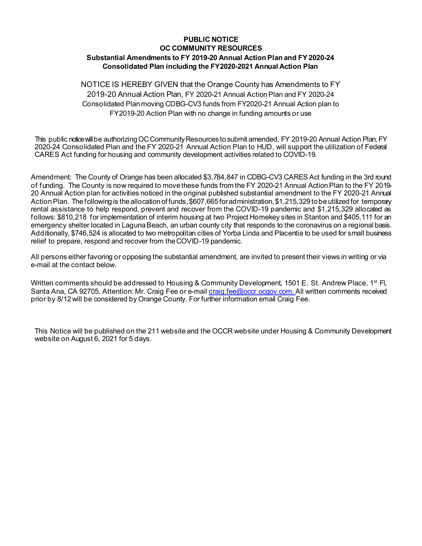## **PUBLIC NOTICE OC COMMUNITY RESOURCES Substantial Amendments to FY 2019-20 Annual Action Plan and FY 2020-24 Consolidated Plan including the FY2020-2021 Annual Action Plan**

NOTICE IS HEREBY GIVEN that the Orange County has Amendments to FY 2019-20 Annual Action Plan, FY 2020-21 Annual Action Plan and FY 2020-24 Consolidated Plan moving CDBG-CV3 funds from FY2020-21 Annual Action plan to FY2019-20 Action Plan with no change in funding amounts or use

This public notice will be authorizing OC Community Resources to submit amended, FY 2019-20 Annual Action Plan, FY 2020-24 Consolidated Plan and the FY 2020-21 Annual Action Plan to HUD, will support the utilization of Federal CARES Act funding for housing and community development activities related to COVID-19.

Amendment: The County of Orange has been allocated \$3,784,847 in CDBG-CV3 CARES Act funding in the 3rd round of funding. The County is now required to movethese funds from the FY 2020-21 Annual Action Plan to the FY 2019- 20 Annual Action plan for activities noticed in the original published substantial amendment to the FY 2020-21 Annual Action Plan. The following is the allocation of funds, \$607,665 for administration, \$1,215,329 to be utilized for temporary rental assistance to help respond, prevent and recover from the COVID-19 pandemic and \$1,215,329 allocated as follows: \$810,218 for implementation of interim housing at two Project Homekey sites in Stanton and \$405,111 for an emergency shelter located in Laguna Beach, an urban county city that responds to the coronavirus on a regional basis. Additionally, \$746,524 is allocated to two metropolitan cities of Yorba Linda and Placentia to be used for small business relief to prepare, respond and recover from the COVID-19 pandemic.

All persons either favoring or opposing the substantial amendment, are invited to present their views in writing or via e-mail at the contact below.

Written comments should be addressed to Housing & Community Development, 1501 E. St. Andrew Place, 1<sup>st</sup> Fl, Santa Ana, CA 92705, Attention: Mr. Craig Fee or e-mail [craig.fee@occr.ocgov.com. A](mailto:craig.fee@occr.ocgov.com.)ll written comments received prior by 8/12will be considered by Orange County. For further information email Craig Fee.

This Notice will be published on the 211 website and the OCCR website under Housing & Community Development website on August 6, 2021 for 5 days.